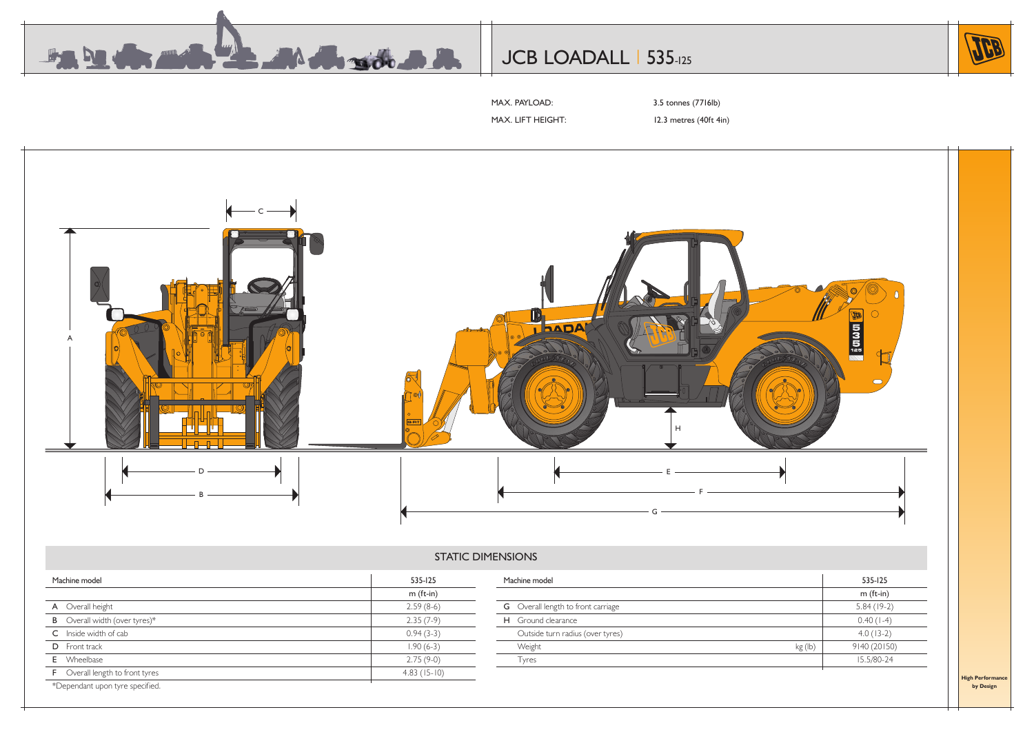

# JCB LOADALL | 535-125



MAX. PAYLOAD: 3.5 tonnes (7716lb)

MAX. LIFT HEIGHT: 12.3 metres (40ft 4in)



# STATIC DIMENSIONS

| Machine model                          | 535-125       | Machine model                             |         | 535-125      |
|----------------------------------------|---------------|-------------------------------------------|---------|--------------|
|                                        | $m$ (ft-in)   |                                           |         | m (ft-in)    |
| A Overall height                       | $2.59(8-6)$   | <b>G</b> Overall length to front carriage |         | $5.84(19-2)$ |
| <b>B</b> Overall width (over tyres)*   | $2.35(7-9)$   | H Ground clearance                        |         | $0.40(1-4)$  |
| C Inside width of cab                  | $0.94(3-3)$   | Outside turn radius (over tyres)          |         | $4.0(13-2)$  |
| D Front track                          | $1.90(6-3)$   | Weight                                    | kg (lb) | 9140 (20150) |
| <b>E</b> Wheelbase                     | $2.75(9-0)$   | <b>lyres</b>                              |         | 15.5/80-24   |
| <b>F</b> Overall length to front tyres | $4.83(15-10)$ |                                           |         |              |
| *Dependant upon tyre specified.        |               |                                           |         |              |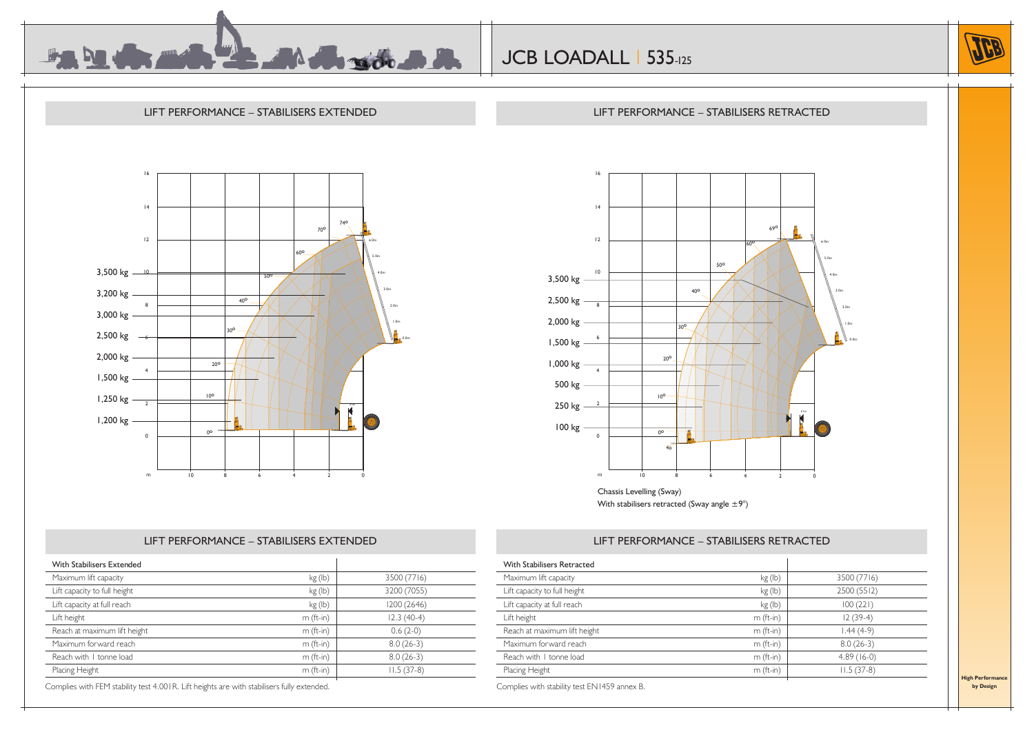

16

LIFT PERFORMANCE – STABILISERS EXTENDED LIFT PERFORMANCE – STABILISERS RETRACTED





## LIFT PERFORMANCE – STABILISERS EXTENDED

|                             | 4           |                          |                    |                                                          |                        |                |                                  |
|-----------------------------|-------------|--------------------------|--------------------|----------------------------------------------------------|------------------------|----------------|----------------------------------|
|                             |             |                          |                    |                                                          |                        |                |                                  |
|                             | 12          |                          |                    |                                                          | 690<br>60 <sup>o</sup> | i<br>52        | 6.0 <sub>m</sub>                 |
|                             |             |                          |                    |                                                          |                        |                | 5.0 <sub>m</sub>                 |
|                             | $\,10$      |                          |                    | 50°                                                      |                        |                | 4.0m                             |
| 3,500 kg -                  |             |                          |                    |                                                          |                        |                |                                  |
| 2,500 kg $\frac{ }{8}$      |             |                          | 40 <sup>o</sup>    |                                                          |                        |                | 3.0 <sub>m</sub>                 |
|                             |             |                          |                    |                                                          |                        |                | 2.0 <sub>m</sub>                 |
| 2,000 kg -                  |             |                          | 30 <sup>o</sup>    |                                                          |                        |                | 1.0 <sub>m</sub>                 |
| 1,500 kg $ 6$               |             |                          |                    |                                                          |                        |                | <b>EL.B</b><br>$\mathsf{N}$ 0.0m |
| 1,000 kg $\frac{1}{4}$      |             | $20^{\circ}$             |                    |                                                          |                        |                |                                  |
|                             |             |                          |                    |                                                          |                        |                |                                  |
| 500 kg $-$                  |             | 10 <sup>o</sup>          |                    |                                                          |                        |                |                                  |
| 250 kg $\frac{2}{\sqrt{2}}$ |             |                          |                    |                                                          |                        | 0.5m           |                                  |
| $100 kg -$                  |             | $0^{\circ}$              |                    |                                                          |                        |                |                                  |
|                             | $\mathbf 0$ | $40^{\circ}$             | Ê.                 |                                                          |                        |                |                                  |
|                             |             |                          |                    |                                                          |                        |                |                                  |
|                             | m           | $\overline{10}$          | $\overline{\bf 8}$ | $\boldsymbol{6}$                                         | $\overline{4}$         | $\overline{2}$ | $\mathbf 0$                      |
|                             |             | Chassis Levelling (Sway) |                    |                                                          |                        |                |                                  |
|                             |             |                          |                    | With stabilisers retracted (Sway angle $\pm 9^{\circ}$ ) |                        |                |                                  |

### LIFT PERFORMANCE – STABILISERS RETRACTED

| With Stabilisers Extended    |             |              |
|------------------------------|-------------|--------------|
| Maximum lift capacity        | kg (lb)     | 3500 (7716)  |
| Lift capacity to full height | kg (lb)     | 3200 (7055)  |
| Lift capacity at full reach  | kg (lb)     | 1200 (2646)  |
| Lift height                  | $m$ (ft-in) | $12.3(40-4)$ |
| Reach at maximum lift height | $m$ (ft-in) | $0.6(2-0)$   |
| Maximum forward reach        | $m$ (ft-in) | $8.0(26-3)$  |
| Reach with 1 tonne load      | $m$ (ft-in) | $8.0(26-3)$  |
| Placing Height               | $m$ (ft-in) | $11.5(37-8)$ |

Complies with FEM stability test 4.001R. Lift heights are with stabilisers fully extended.

| Maximum lift capacity        | kg (lb)     | 3500 (7716)  |
|------------------------------|-------------|--------------|
| Lift capacity to full height | kg (lb)     | 2500 (5512)  |
| Lift capacity at full reach  | kg (lb)     | 100(221)     |
| Lift height                  | $m$ (ft-in) | $12(39-4)$   |
| Reach at maximum lift height | $m$ (ft-in) | $1.44(4-9)$  |
| Maximum forward reach        | $m$ (ft-in) | $8.0(26-3)$  |
| Reach with I tonne load      | $m$ (ft-in) | $4.89(16-0)$ |
| Placing Height               | $m$ (ft-in) | $11.5(37-8)$ |

**High Performan by Design**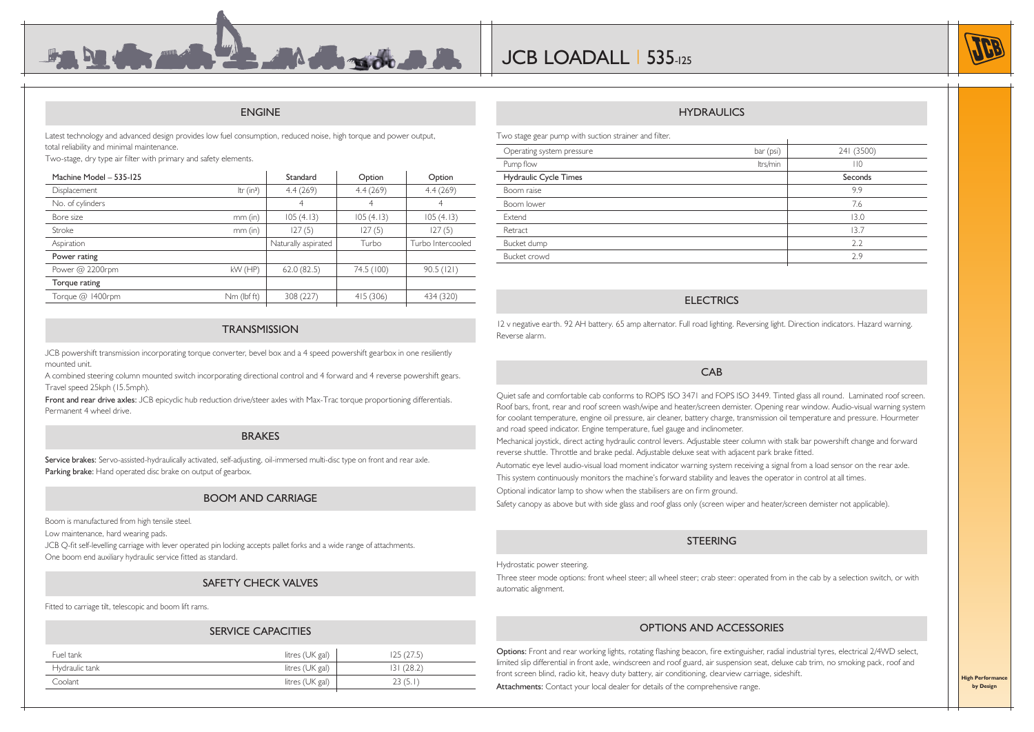#### ENGINE

 $\mathbf{A}$  . The radius  $\mathbf{B}$ 

Latest technology and advanced design provides low fuel consumption, reduced noise, high torque and power output, total reliability and minimal maintenance.

Two-stage, dry type air filter with primary and safety elements.

| Machine Model - 535-125 |              | Standard            | Option     | Option            |
|-------------------------|--------------|---------------------|------------|-------------------|
| Displacement            | Itr $(in^3)$ | 4.4(269)            | 4.4(269)   | 4.4(269)          |
| No. of cylinders        |              | 4                   | 4          | 4                 |
| Bore size               | $mm$ (in)    | 105(4.13)           | 105(4.13)  | 105(4.13)         |
| Stroke                  | $mm$ (in)    | 127(5)              | 127(5)     | 127(5)            |
| Aspiration              |              | Naturally aspirated | Turbo      | Turbo Intercooled |
| Power rating            |              |                     |            |                   |
| Power $@$ 2200rpm       | $kW$ (HP)    | 62.0(82.5)          | 74.5 (100) | 90.5(121)         |
| Torque rating           |              |                     |            |                   |
| Torque @ 1400rpm        | Nm (lbf ft)  | 308 (227)           | 415(306)   | 434 (320)         |
|                         |              |                     |            |                   |

#### **TRANSMISSION**

JCB powershift transmission incorporating torque converter, bevel box and a 4 speed powershift gearbox in one resiliently mounted unit.

A combined steering column mounted switch incorporating directional control and 4 forward and 4 reverse powershift gears. Travel speed 25kph (15.5mph).

Front and rear drive axles: JCB epicyclic hub reduction drive/steer axles with Max-Trac torque proportioning differentials. Permanent 4 wheel drive.

#### BRAKES

Service brakes: Servo-assisted-hydraulically activated, self-adjusting, oil-immersed multi-disc type on front and rear axle. Parking brake: Hand operated disc brake on output of gearbox.

#### BOOM AND CARRIAGE

Boom is manufactured from high tensile steel.

Low maintenance, hard wearing pads.

JCB Q-fit self-levelling carriage with lever operated pin locking accepts pallet forks and a wide range of attachments. One boom end auxiliary hydraulic service fitted as standard.

#### SAFETY CHECK VALVES

Fitted to carriage tilt, telescopic and boom lift rams.

#### SERVICE CAPACITIES

| Fuel tank      | litres (UK gal) | (27.5)     |
|----------------|-----------------|------------|
| Hydraulic tank | litres (UK gal) | 131 (28.2) |
| Coolant        | litres (UK gal) | 23 (5.1    |
|                |                 |            |

#### **HYDRAULICS**

Two stage gear pump with suction strainer and filter.

| Operating system pressure | bar (psi) | 241 (3500) |
|---------------------------|-----------|------------|
| Pump flow                 | Itrs/min  | 110        |
| Hydraulic Cycle Times     |           | Seconds    |
| Boom raise                |           | 9.9        |
| Boom lower                |           | 7.6        |
| Extend                    |           | 13.0       |
| Retract                   |           | 13.7       |
| Bucket dump               |           | 2.2        |
| Bucket crowd              |           | 2.9        |
|                           |           |            |

#### **ELECTRICS**

12 v negative earth. 92 AH battery. 65 amp alternator. Full road lighting. Reversing light. Direction indicators. Hazard warning. Reverse alarm.

#### CAB

Quiet safe and comfortable cab conforms to ROPS ISO 3471 and FOPS ISO 3449. Tinted glass all round. Laminated roof screen. Roof bars, front, rear and roof screen wash/wipe and heater/screen demister. Opening rear window. Audio-visual warning system for coolant temperature, engine oil pressure, air cleaner, battery charge, transmission oil temperature and pressure. Hourmeter and road speed indicator. Engine temperature, fuel gauge and inclinometer.

Mechanical joystick, direct acting hydraulic control levers. Adjustable steer column with stalk bar powershift change and forward reverse shuttle. Throttle and brake pedal. Adjustable deluxe seat with adjacent park brake fitted.

Automatic eye level audio-visual load moment indicator warning system receiving a signal from a load sensor on the rear axle.

This system continuously monitors the machine's forward stability and leaves the operator in control at all times.

Optional indicator lamp to show when the stabilisers are on firm ground.

Safety canopy as above but with side glass and roof glass only (screen wiper and heater/screen demister not applicable).

#### **STEERING**

#### Hydrostatic power steering.

Three steer mode options: front wheel steer; all wheel steer; crab steer: operated from in the cab by a selection switch, or with automatic alignment.

#### OPTIONS AND ACCESSORIES

Options: Front and rear working lights, rotating flashing beacon, fire extinguisher, radial industrial tyres, electrical 2/4WD select, limited slip differential in front axle, windscreen and roof guard, air suspension seat, deluxe cab trim, no smoking pack, roof and front screen blind, radio kit, heavy duty battery, air conditioning, clearview carriage, sideshift. Attachments: Contact your local dealer for details of the comprehensive range.



**High Perform by Design**